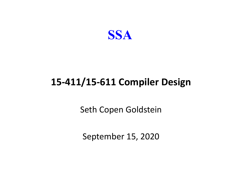

#### **15-411/15-611 Compiler Design**

Seth Copen Goldstein

September 15, 2020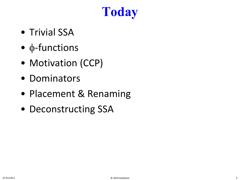# **Today**

- Trivial SSA
- φ-functions
- Motivation (CCP)
- Dominators
- Placement & Renaming
- Deconstructing SSA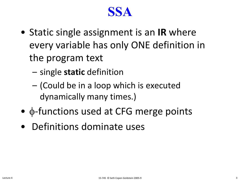#### **SSA**

- Static single assignment is an **IR** where every variable has only ONE definition in the program text
	- single **static** definition
	- (Could be in a loop which is executed dynamically many times.)
- φ-functions used at CFG merge points
- Definitions dominate uses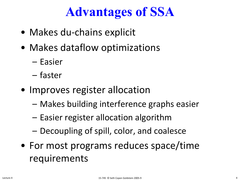# **Advantages of SSA**

- Makes du-chains explicit
- Makes dataflow optimizations
	- Easier
	- faster
- Improves register allocation
	- Makes building interference graphs easier
	- Easier register allocation algorithm
	- Decoupling of spill, color, and coalesce
- For most programs reduces space/time requirements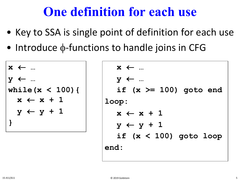# **One definition for each use**

- Key to SSA is single point of definition for each use
- Introduce  $\phi$ -functions to handle joins in CFG

```
x ← …
y ← …
while(x < 100){
  x \leftarrow x + 1y ← y + 1
}
```

$$
x \leftarrow \dots
$$
\n
$$
y \leftarrow \dots
$$
\n
$$
if (x >= 100) \text{ go to end}
$$
\n
$$
loop:
$$
\n
$$
x \leftarrow x + 1
$$
\n
$$
y \leftarrow y + 1
$$
\n
$$
if (x < 100) \text{ go to loop}
$$
\n
$$
end:
$$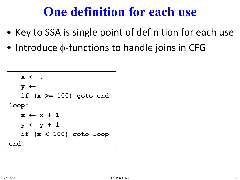# **One definition for each use**

- Key to SSA is single point of definition for each use
- Introduce  $\phi$ -functions to handle joins in CFG

```
x ← …
   y ← …
   if (x >= 100) goto end
loop:
   x \leftarrow x + 1y ← y + 1
   if (x < 100) goto loop
end:
```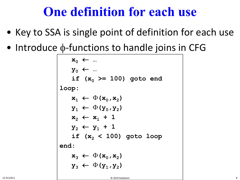# **One definition for each use**

- Key to SSA is single point of definition for each use
- Introduce  $\phi$ -functions to handle joins in CFG

 $\mathbf{x}_0 \leftarrow \dots$ **y0** ← **… if**  $(x_0 \ge 100)$  goto end **loop:**  $\mathbf{x}_1 \leftarrow \Phi(\mathbf{x}_0, \mathbf{x}_2)$  $\mathbf{y}_1 \leftarrow \Phi(\mathbf{y}_0, \mathbf{y}_2)$  $x_2 \leftarrow x_1 + 1$  $y_2 \leftarrow y_1 + 1$ **if (x2 < 100) goto loop end:**  $\mathbf{x}_3 \leftarrow \Phi(\mathbf{x}_0, \mathbf{x}_2)$  $y_3 \leftarrow \Phi(y_1, y_2)$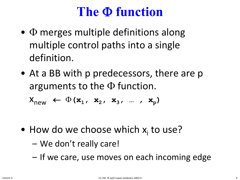# **The** Φ **function**

- $\Phi$  merges multiple definitions along multiple control paths into a single definition.
- At a BB with p predecessors, there are p arguments to the  $\Phi$  function.

 $X_{new} \leftarrow \Phi(x_1, x_2, x_3, ..., x_p)$ 

- How do we choose which  $x_i$  to use?
	- We don't really care!
	- If we care, use moves on each incoming edge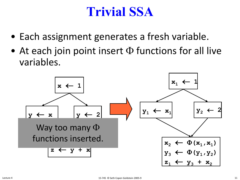# **Trivial SSA**

- Each assignment generates a fresh variable.
- At each join point insert  $\Phi$  functions for all live variables.

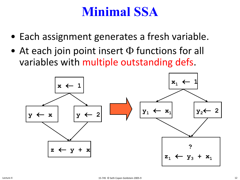# **Minimal SSA**

- Each assignment generates a fresh variable.
- At each join point insert  $\Phi$  functions for all variables with multiple outstanding defs.

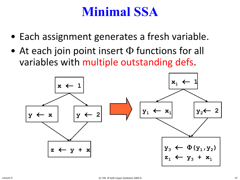# **Minimal SSA**

- Each assignment generates a fresh variable.
- At each join point insert  $\Phi$  functions for all variables with multiple outstanding defs.

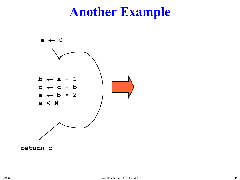# **Another Example**

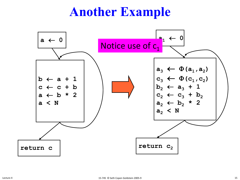# **Another Example**

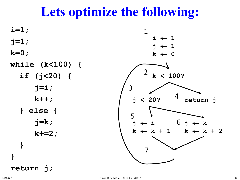# **Lets optimize the following:**

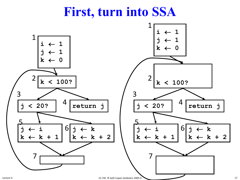# **First, turn into SSA**



17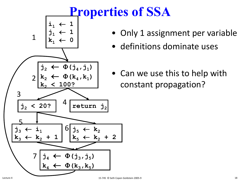

- Only 1 assignment per variable
- definitions dominate uses
- Can we use this to help with constant propagation?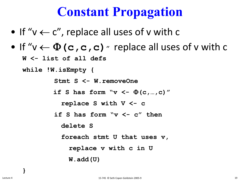- If " $v \leftarrow c$ ", replace all uses of v with c
- If " $v \leftarrow \Phi(c, c, c)$ " replace all uses of v with c

**W <- list of all defs**

**while !W.isEmpty {**

**Stmt S <- W.removeOne**

**if S has form "v <-** Φ**(c,…,c)"** 

**replace S with V <- c**

**if S has form "v <- c" then**

**delete S**

**foreach stmt U that uses v,**

**replace v with c in U**

**W.add(U)**

**}**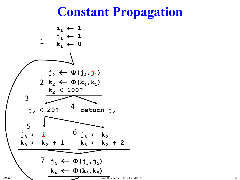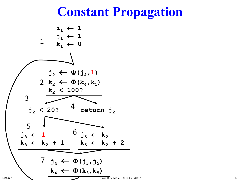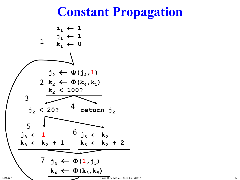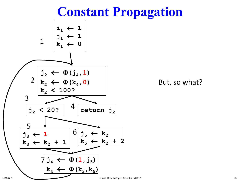

But, so what?

23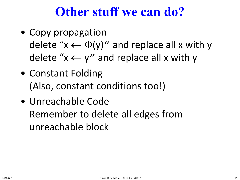# **Other stuff we can do?**

- Copy propagation delete " $x \leftarrow \Phi(y)$ " and replace all x with y delete " $x \leftarrow y$ " and replace all x with y
- Constant Folding (Also, constant conditions too!)
- Unreachable Code Remember to delete all edges from unreachable block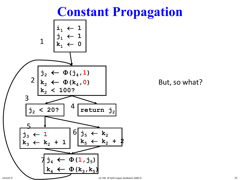

But, so what?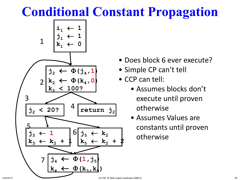

- Does block 6 ever execute?
- Simple CP can't tell
- CCP can tell:
	- Assumes blocks don't execute until proven otherwise
	- Assumes Values are constants until proven otherwise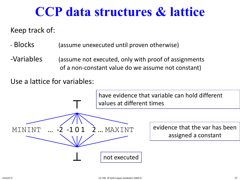# **CCP data structures & lattice**

Keep track of:

- Blocks (assume unexecuted until proven otherwise)
- -Variables (assume not executed, only with proof of assignments of a non-constant value do we assume not constant)

Use a lattice for variables:





⊥

evidence that the var has been assigned a constant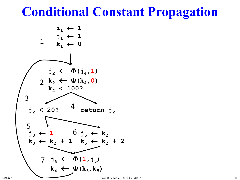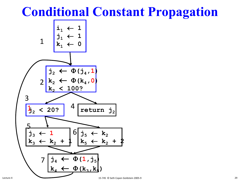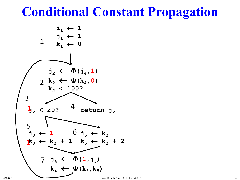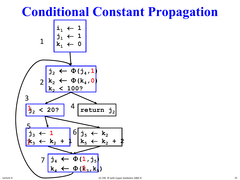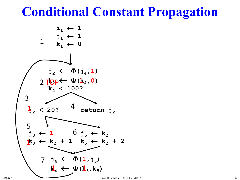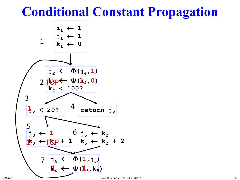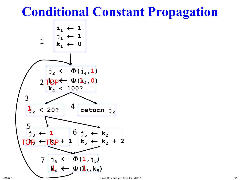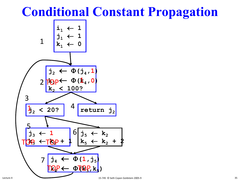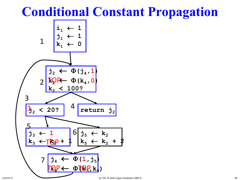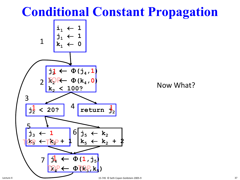

Now What?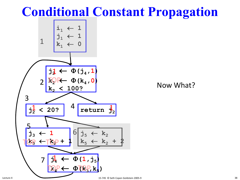

#### Now What?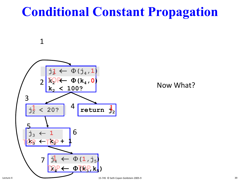## **Conditional Constant Propagation**



1

Now What?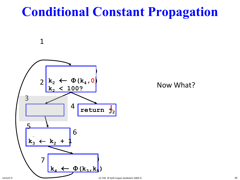## **Conditional Constant Propagation**



1

Now What?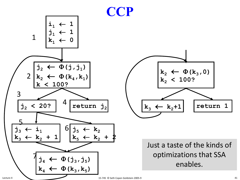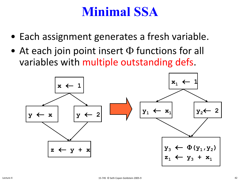#### **Minimal SSA**

- Each assignment generates a fresh variable.
- At each join point insert  $\Phi$  functions for all variables with multiple outstanding defs.

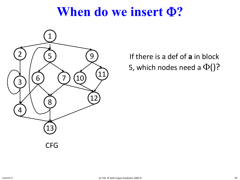

If there is a def of **a** in block 5, which nodes need a  $\Phi()$ ?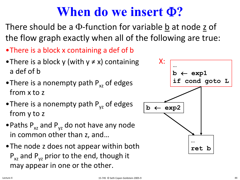- •There is a block x containing a def of b
- There is a block y (with  $y \neq x$ ) containing a def of b
- There is a nonempty path  $P_{xz}$  of edges from x to z
- There is a nonempty path  $P_{vz}$  of edges from y to z
- Paths  $P_{xz}$  and  $P_{yz}$  do not have any node in common other than z, and…
- •The node z does not appear within both  $P_{xz}$  and  $P_{yz}$  prior to the end, though it may appear in one or the other.

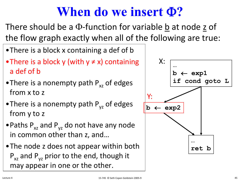- •There is a block x containing a def of b
- There is a block y (with  $y \neq x$ ) containing a def of b
- There is a nonempty path  $P_{xz}$  of edges from x to z
- There is a nonempty path  $P_{vz}$  of edges from y to z
- Paths  $P_{xz}$  and  $P_{yz}$  do not have any node in common other than z, and…
- •The node z does not appear within both  $P_{xz}$  and  $P_{yz}$  prior to the end, though it may appear in one or the other.

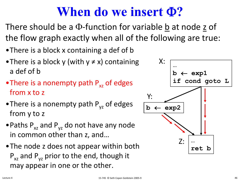- •There is a block x containing a def of b
- There is a block y (with  $y \neq x$ ) containing a def of b
- There is a nonempty path  $P_{xz}$  of edges from x to z
- There is a nonempty path  $P_{vz}$  of edges from y to z
- Paths  $P_{xz}$  and  $P_{yz}$  do not have any node in common other than z, and…
- •The node z does not appear within both  $P_{xz}$  and  $P_{yz}$  prior to the end, though it may appear in one or the other.

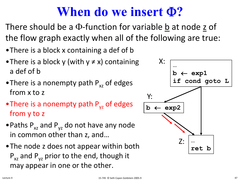- •There is a block x containing a def of b
- There is a block y (with  $y \neq x$ ) containing a def of b
- There is a nonempty path  $P_{xz}$  of edges from x to z
- There is a nonempty path  $P_{vz}$  of edges from y to z
- Paths  $P_{xz}$  and  $P_{yz}$  do not have any node in common other than z, and…
- •The node z does not appear within both  $P_{xz}$  and  $P_{yz}$  prior to the end, though it may appear in one or the other.

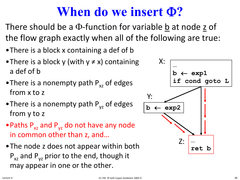- •There is a block x containing a def of b
- There is a block y (with  $y \neq x$ ) containing a def of b
- There is a nonempty path  $P_{xz}$  of edges from x to z
- There is a nonempty path  $P_{vz}$  of edges from y to z
- Paths  $P_{xz}$  and  $P_{yz}$  do not have any node in common other than z, and…
- •The node z does not appear within both  $P_{xz}$  and  $P_{yz}$  prior to the end, though it may appear in one or the other.

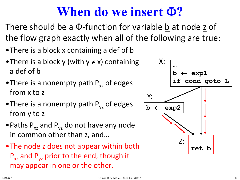- •There is a block x containing a def of b
- There is a block y (with  $y \neq x$ ) containing a def of b
- There is a nonempty path  $P_{xz}$  of edges from x to z
- There is a nonempty path  $P_{vz}$  of edges from y to z
- Paths  $P_{xz}$  and  $P_{yz}$  do not have any node in common other than z, and…
- •The node z does not appear within both  $P_{xz}$  and  $P_{yz}$  prior to the end, though it may appear in one or the other.

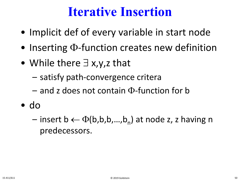#### **Iterative Insertion**

- Implicit def of every variable in start node
- Inserting Φ-function creates new definition
- While there ∃ x,y,z that
	- satisfy path-convergence critera
	- and z does not contain Φ-function for b
- do
	- insert b  $\leftarrow \Phi(b,b,b,...,b_n)$  at node z, z having n predecessors.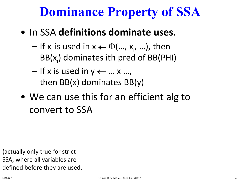## **Dominance Property of SSA**

- In SSA **definitions dominate uses**.
	- $-$  If  $x_i$  is used in  $x \leftarrow \Phi(..., x_{i}, ...)$ , then  $BB(x_i)$  dominates ith pred of BB(PHI)
	- $-$  If x is used in  $y \leftarrow ... x ...$ then BB(x) dominates BB(y)
- We can use this for an efficient alg to convert to SSA

(actually only true for strict SSA, where all variables are defined before they are used.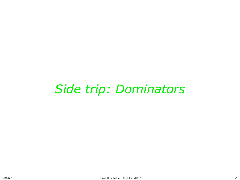## *Side trip: Dominators*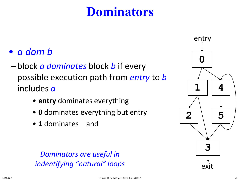## **Dominators**

- *a dom b*
- block *a dominates* block *b* if every possible execution path from *entry* to *b* includes *a*
	- **entry** dominates everything
	- **0** dominates everything but entry
	- 1 dominates and

*Dominators are useful in indentifying "natural" loops*

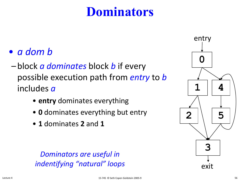## **Dominators**

- *a dom b*
- block *a dominates* block *b* if every possible execution path from *entry* to *b* includes *a*
	- **entry** dominates everything
	- **0** dominates everything but entry
	- **1** dominates **2** and **1**

*Dominators are useful in indentifying "natural" loops*

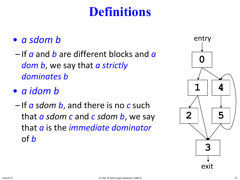## **Definitions**

#### • *a sdom b*

– If *a* and *b* are different blocks and *a dom b*, we say that *a strictly dominates b*

#### • *a idom b*

– If *a sdom b*, and there is no *c* such that *a sdom c* and *c sdom b*, we say that *a* is the *immediate dominator* of *b*

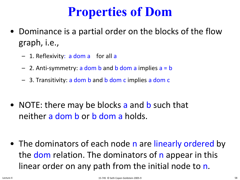## **Properties of Dom**

- Dominance is a partial order on the blocks of the flow graph, i.e.,
	- 1. Reflexivity: a dom a for all a
	- $-$  2. Anti-symmetry: a dom b and b dom a implies  $a = b$
	- 3. Transitivity: a dom b and b dom c implies a dom c
- NOTE: there may be blocks a and b such that neither a dom b or b dom a holds.
- The dominators of each node n are linearly ordered by the dom relation. The dominators of n appear in this linear order on any path from the initial node to n.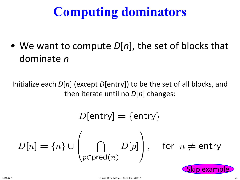# **Computing dominators**

• We want to compute *D*[*n*], the set of blocks that dominate *n*

Initialize each *D*[*n*] (except *D*[entry]) to be the set of all blocks, and then iterate until no *D*[*n*] changes:

$$
D[\text{entry}] = {\text{entry}}
$$
  

$$
D[n] = {n} \cup \left(\bigcap_{p \in \text{pred}(n)} D[p]\right), \text{ for } n \neq \text{entry}
$$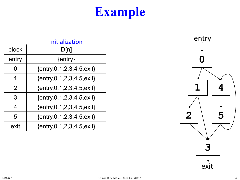|       | Initialization                             |
|-------|--------------------------------------------|
| block | D[n]                                       |
| entry | $\{entry\}$                                |
| 0     | $\{entry, 0, 1, 2, 3, 4, 5, 6 \times i \}$ |
| 1     | $\{entry, 0, 1, 2, 3, 4, 5, 6 \times i \}$ |
| 2     | $\{entry, 0, 1, 2, 3, 4, 5, 6 \}$          |
| 3     | $\{entry, 0, 1, 2, 3, 4, 5, \text{exit}\}$ |
| 4     | {entry, 0, 1, 2, 3, 4, 5, exit}            |
| 5     | $\{entry, 0, 1, 2, 3, 4, 5, 6 \times i \}$ |
| exit  | $\{entry, 0, 1, 2, 3, 4, 5, exit\}$        |

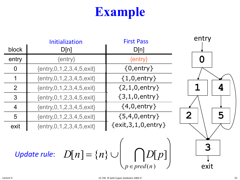|                | Initialization                      | <b>First Pass</b>       |
|----------------|-------------------------------------|-------------------------|
| block          | D[n]                                | D[n]                    |
| entry          | $\{entry\}$                         | $\{entry\}$             |
| $\Omega$       | $\{entry, 0, 1, 2, 3, 4, 5, exit\}$ | $\{0,$ entry $\}$       |
| 1              | $\{entry, 0, 1, 2, 3, 4, 5, exit\}$ | $\{1,0,$ entry $\}$     |
| 2              | $\{entry, 0, 1, 2, 3, 4, 5, exit\}$ | ${2, 1, 0,$ entry }     |
| 3              | $\{entry, 0, 1, 2, 3, 4, 5, exit\}$ | $\{3, 1, 0,$ entry }    |
| $\overline{4}$ | ${entry, 0, 1, 2, 3, 4, 5, exit}$   | $\{4,0,$ entry }        |
| 5              | $\{entry, 0, 1, 2, 3, 4, 5, exit\}$ | $\{5,4,0,$ entry }      |
| exit           | $\{entry, 0, 1, 2, 3, 4, 5, exit\}$ | {exit, 3, 1, 0, entry } |

 $D[n] = \{n\} \cup \bigcap D[p]$ *p* ∈ *pred*(*n* )  $\bigcap$  $\bigg\vert_{\!\!\!\!\!\!\!\!\int}$  $\begin{matrix} \phantom{-} \end{matrix}$ *Update rule:*  $D[n] = \{n\} \cup \left(\bigcap_{p \in pred(n)} D[p]\right)$ 

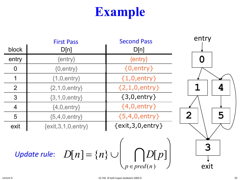|                | <b>First Pass</b>           | <b>Second Pass</b>      |
|----------------|-----------------------------|-------------------------|
| block          | D[n]                        | D[n]                    |
| entry          | $\{entry\}$                 | $\{entry\}$             |
| $\Omega$       | $\{0,$ entry $\}$           | $\{0,$ entry $\}$       |
| 1              | $\{1,0,$ entry $\}$         | $\{1,0,$ entry $\}$     |
| 2              | $\{2, 1, 0, \text{entry}\}$ | ${2, 1, 0,$ entry $}$   |
| 3              | $\{3, 1, 0,$ entry $\}$     | $\{3,0,$ entry $\}$     |
| $\overline{4}$ | $\{4,0,$ entry $\}$         | ${4,0,$ entry }         |
| 5              | ${5,4,0,$ entry}            | $\{5,4,0,$ entry }      |
| exit           | $\{exit, 3, 1, 0, entry\}$  | $\{exit, 3, 0, entry\}$ |

 $D[n] = \{n\} \cup \bigcap D[p]$ *p* ∈ *pred*(*n* )  $\bigcap$  $\bigg\vert_{\!\!\!\!\!\!\!\!\int}$  $\begin{matrix} \phantom{-} \end{matrix}$ *Update rule:*  $D[n] = \{n\} \cup \left(\bigcap_{p \in pred(n)} D[p]\right)$ 

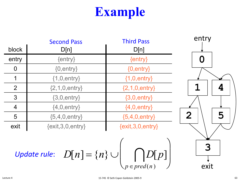|                | <b>Second Pass</b>      | <b>Third Pass</b>       |
|----------------|-------------------------|-------------------------|
| block          | D[n]                    | D[n]                    |
| entry          | $\{entry\}$             | $\{entry\}$             |
| $\overline{0}$ | $\{0,$ entry $\}$       | $\{0,$ entry $\}$       |
| 1              | $\{1,0,$ entry $\}$     | $\{1,0,$ entry $\}$     |
| 2              | ${2, 1, 0, entry}$      | ${2, 1, 0, entry}$      |
| 3              | $\{3,0,$ entry $\}$     | $\{3,0,$ entry $\}$     |
| $\overline{4}$ | $\{4,0,$ entry $\}$     | ${4,0,$ entry}          |
| 5              | ${5,4,0,$ entry}        | ${5,4,0,$ entry}        |
| exit           | $\{exit, 3, 0, entry\}$ | $\{exit, 3, 0, entry\}$ |

 $D[n] = \{n\} \cup \bigcap D[p]$ *p* ∈ *pred*(*n* )  $\bigcap$  $\bigg\vert_{\!\!\!\!\!\!\!\!\int}$ *Update rule*:  $D[n] = \{n\} \cup \left[ |D[p]| \right]$ 



 $\begin{matrix} \phantom{-} \end{matrix}$ 

 $\int$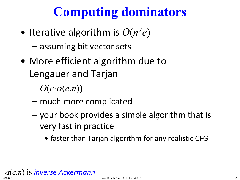# **Computing dominators**

- Iterative algorithm is  $O(n^2e)$ 
	- assuming bit vector sets
- More efficient algorithm due to Lengauer and Tarjan
	- $O(e \cdot \alpha(e, n))$
	- much more complicated
	- your book provides a simple algorithm that is very fast in practice
		- faster than Tarjan algorithm for any realistic CFG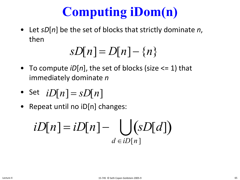# **Computing iDom(n)**

• Let *sD*[*n*] be the set of blocks that strictly dominate *n*, then

$$
sD[n] = D[n] - \{n\}
$$

- To compute *iD*[*n*], the set of blocks (size <= 1) that immediately dominate *n*
- Set  $iD[n] = sD[n]$
- Repeat until no iD[n] changes:

$$
iD[n] = iD[n] - \bigcup_{d \in iD[n]} (sD[d])
$$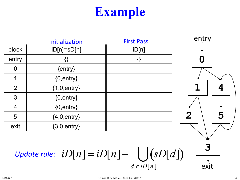|                                                                      | Initialization    | <b>First Pass</b> | entry               |
|----------------------------------------------------------------------|-------------------|-------------------|---------------------|
| block                                                                | $iD[n]=sD[n]$     | iD[n]             |                     |
| entry                                                                | {}                | {}                |                     |
| $\overline{0}$                                                       | $\{entry\}$       |                   |                     |
|                                                                      | ${0,$ entry $}$   |                   |                     |
| $\overline{2}$                                                       | ${1,0,$ entry}    |                   |                     |
| 3                                                                    | $\{0,$ entry $\}$ |                   |                     |
| $\overline{4}$                                                       | ${0,$ entry $}$   |                   |                     |
| 5                                                                    | ${4,0,$ entry}    |                   | $\overline{2}$<br>5 |
| exit                                                                 | ${3,0,$ entry}    |                   |                     |
| Update rule: $iD[n] = iD[n] - \int (sD[d])$<br>$d \in iD[n]$<br>exit |                   |                   |                     |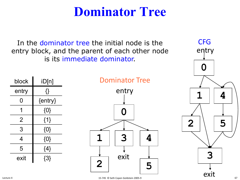#### **Dominator Tree**

<span id="page-62-0"></span>In the dominator tree the initial node is the CFG entry block, and the parent of each other node is its immediate dominator.

| block | iD[n]     |
|-------|-----------|
| entry | {}        |
| O     | ${entry}$ |
| 1     | $\{0\}$   |
| 2     | ${1}$     |
| 3     | $\{0\}$   |
| 4     | $\{0\}$   |
| 5     | ${4}$     |
| exit  | $\{3\}$   |

Dominator Tree



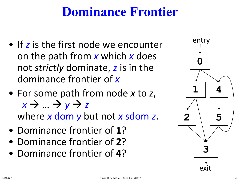## **Dominance Frontier**

- If *z* is the first node we encounter on the path from *x* which *x* does not *strictly* dominate, *z* is in the dominance frontier of *x*
- For some path from node *x* to *z*,  $x \rightarrow ... \rightarrow y \rightarrow z$ where *x* dom *y* but not *x* sdom *z*.
- Dominance frontier of 1?
- Dominance frontier of 2?
- Dominance frontier of 4?

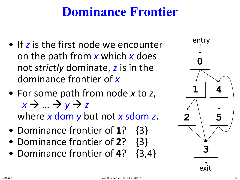## **Dominance Frontier**

- If *z* is the first node we encounter on the path from *x* which *x* does not *strictly* dominate, *z* is in the dominance frontier of *x*
- For some path from node *x* to *z*,  $x \rightarrow ... \rightarrow y \rightarrow z$ where *x* dom *y* but not *x* sdom *z*.
- Dominance frontier of **1**? {3}
- Dominance frontier of **2**? {3}
- Dominance frontier of **4**? {3,4}

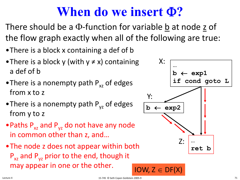- •There is a block x containing a def of b
- There is a block y (with  $y \neq x$ ) containing a def of b
- There is a nonempty path  $P_{xz}$  of edges from x to z
- There is a nonempty path  $P_{vz}$  of edges from y to z
- Paths  $P_{xz}$  and  $P_{yz}$  do not have any node in common other than z, and…
- •The node z does not appear within both  $P_{xz}$  and  $P_{yz}$  prior to the end, though it may appear in one or the other. IOW,  $Z \in DF(X)$

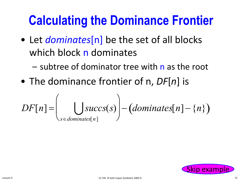# **Calculating the Dominance Frontier**

- Let *dominates*[n] be the set of all blocks which block n dominates
	- subtree of dominator tree with n as the root
- The dominance frontier of n, *DF*[*n*] is

$$
DF[n] = \left(\bigcup_{s \in dominates[n]} succs(s)\right) - (dominates[n] - \{n\})
$$

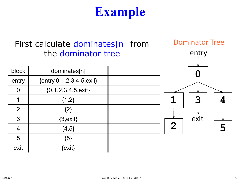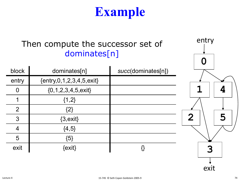#### Then compute the successor set of dominates[n]

| block          | dominates[n]                        | succ(dominates[n]) |
|----------------|-------------------------------------|--------------------|
| entry          | $\{entry, 0, 1, 2, 3, 4, 5, exit\}$ |                    |
| O              | $\{0, 1, 2, 3, 4, 5, \text{exit}\}$ |                    |
|                | $\{1,2\}$                           |                    |
| $\overline{2}$ | $\{2\}$                             |                    |
| 3              | $\{3, \text{exit}\}$                |                    |
|                | $\{4, 5\}$                          |                    |
| 5              | ${5}$                               |                    |
| exit           | {exit}                              |                    |

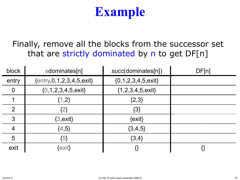Finally, remove all the blocks from the successor set that are strictly dominated by n to get DF[n]

| block          | sdominates[n]                       | succ(dominates[n])                  | DF[n]          |
|----------------|-------------------------------------|-------------------------------------|----------------|
| entry          | $\{entry, 0, 1, 2, 3, 4, 5, exit\}$ | $\{0, 1, 2, 3, 4, 5, \text{exit}\}$ |                |
| $\Omega$       | $\{0, 1, 2, 3, 4, 5, \text{exit}\}$ | ${1, 2, 3, 4, 5, \text{exit}}$      |                |
|                | ${1,2}$                             | ${2,3}$                             |                |
| $\overline{2}$ | {2}                                 | ${3}$                               | $\sim$ $ \sim$ |
| 3              | $\{3, \text{exit}\}$                | $\{exit\}$                          | $- -$          |
| $\overline{4}$ | ${4,5}$                             | ${3,4,5}$                           |                |
| 5              | ${5}$                               | ${3,4}$                             |                |
| exit           | $\{$ exit $\}$                      |                                     |                |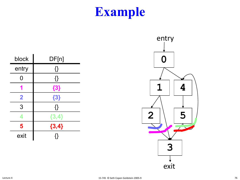| block                   | DF[n]   |
|-------------------------|---------|
| entry                   | {}      |
| 0                       | {}      |
|                         | ${3}$   |
| $\overline{\mathbf{2}}$ | ${3}$   |
| 3                       | {}      |
| 4                       | ${3,4}$ |
| 5                       | ${3,4}$ |
| exit                    |         |

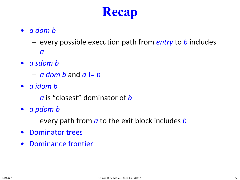# **Recap**

- <span id="page-71-0"></span>• *a dom b*
	- every possible execution path from *entry* to *b* includes *a*
- *a sdom b*
	- *a dom b* and *a* != *b*
- *a idom b*
	- *a* is "closest" dominator of *b*
- *a pdom b*
	- every path from *a* to the exit block includes *b*
- Dominator trees
- Dominance frontier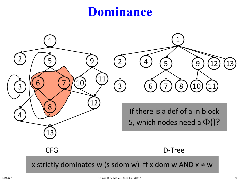### **Dominance**

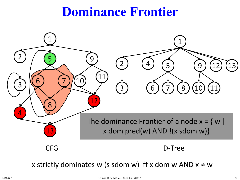### **Dominance Frontier**



x strictly dominates w (s sdom w) iff x dom w AND  $x \neq w$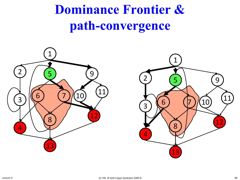**Dominance Frontier & path-convergence**



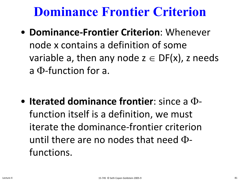• **Dominance-Frontier Criterion**: Whenever node x contains a definition of some variable a, then any node  $z \in DF(x)$ , z needs a Φ-function for a.

• **Iterated dominance frontier**: since a Φfunction itself is a definition, we must iterate the dominance-frontier criterion until there are no nodes that need Φfunctions.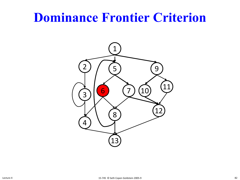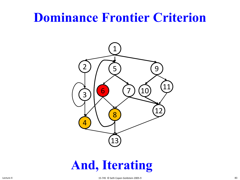

### **And, Iterating**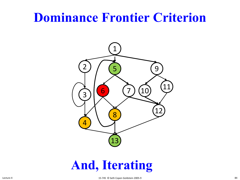

### **And, Iterating**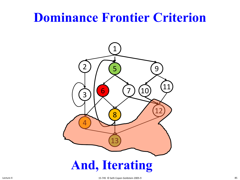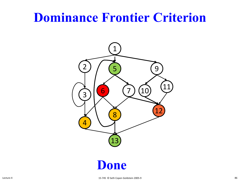

#### **Done**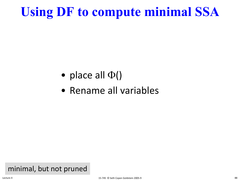## **Using DF to compute minimal SSA**

- place all  $\Phi()$
- Rename all variables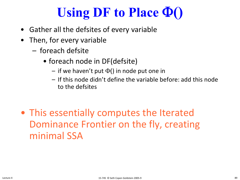## **Using DF to Place** Φ**()**

- Gather all the defsites of every variable
- Then, for every variable
	- foreach defsite
		- foreach node in DF(defsite)
			- $-$  if we haven't put  $\Phi()$  in node put one in
			- If this node didn't define the variable before: add this node to the defsites
- This essentially computes the Iterated Dominance Frontier on the fly, creating minimal SSA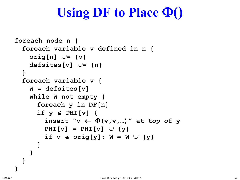### **Using DF to Place** Φ**()**

```
foreach node n {
  foreach variable v defined in n {
    orig[n] ∪= {v}
    defsites[v] ∪= {n}
  }
  foreach variable v {
    W = defsites[v]
    while W not empty {
      foreach y in DF[n]
      if y ∉ PHI[v] {
         insert \forall v \leftarrow \Phi(v, v, ...) at top of y
         PHI[v] = PHI[v] \cup \{y\}if v \notin \text{orig}[y]: W = W \cup \{y\}}
    }
  }
}
```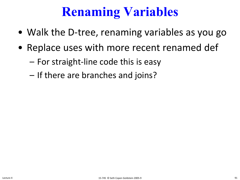## **Renaming Variables**

- Walk the D-tree, renaming variables as you go
- Replace uses with more recent renamed def
	- For straight-line code this is easy
	- If there are branches and joins?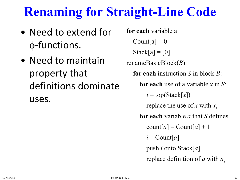### **Renaming for Straight-Line Code**

- Need to extend for φ-functions.
- Need to maintain property that definitions dominate uses.

**for each** variable a: Count[a] =  $0$  $Stack[a] = [0]$ renameBasicBlock(*B*): **for each** instruction *S* in block *B*: **for each** use of a variable *x* in *S*:  $i = top(Stack[x])$ replace the use of *x* with *xi* **for each** variable *a* that *S* defines  $\text{count}[a] = \text{Count}[a] + 1$  $i =$  Count[a] push *i* onto Stack[*a*] replace definition of *a* with *ai*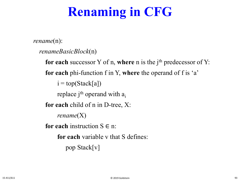## **Renaming in CFG**

*rename*(n):

```
renameBasicBlock(n)
```
for each successor Y of n, where n is the j<sup>th</sup> predecessor of Y: **for each** phi-function f in Y, **where** the operand of f is 'a'  $i = top(Stack[a])$ replace j $^{\rm th}$  operand with  $\rm a_i$ **for each** child of n in D-tree, X: *rename*(X) **for each** instruction  $S \in \mathbb{R}$ : **for each** variable v that S defines: pop Stack[v]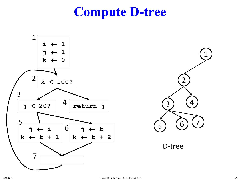### **Compute D-tree**





D-tree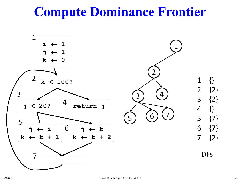### **Compute Dominance Frontier**

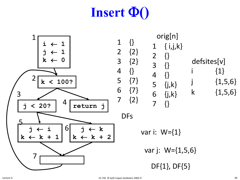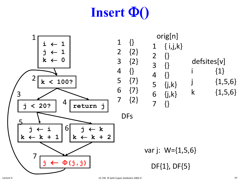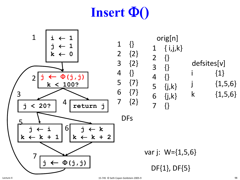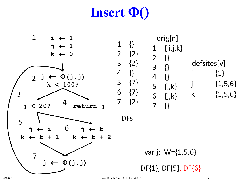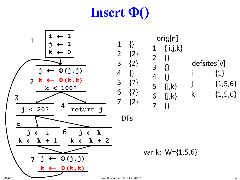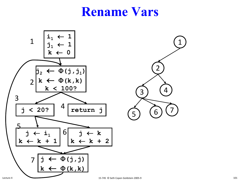

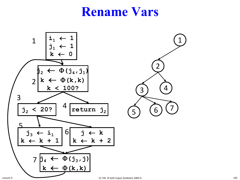

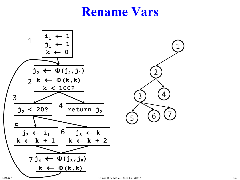

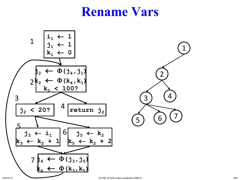

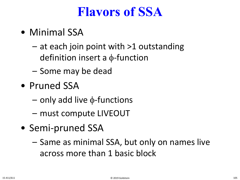### **Flavors of SSA**

- Minimal SSA
	- at each join point with >1 outstanding definition insert a φ-function
	- Some may be dead
- Pruned SSA
	- only add live φ-functions
	- must compute LIVEOUT
- Semi-pruned SSA
	- Same as minimal SSA, but only on names live across more than 1 basic block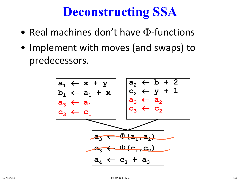### **Deconstructing SSA**

- Real machines don't have Φ-functions
- Implement with moves (and swaps) to predecessors.

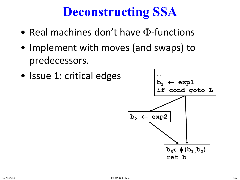### **Deconstructing SSA**

- Real machines don't have Φ-functions
- Implement with moves (and swaps) to predecessors.
- Issue 1: critical edges

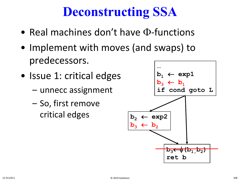## **Deconstructing SSA**

- Real machines don't have Φ-functions
- Implement with moves (and swaps) to predecessors.
- Issue 1: critical edges
	- unnecc assignment
	- So, first remove critical edges

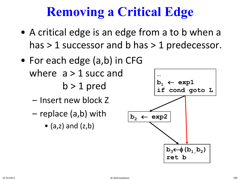## **Removing a Critical Edge**

- A critical edge is an edge from a to b when a has > 1 successor and b has > 1 predecessor.
- For each edge (a,b) in CFG where  $a > 1$  succ and  $b > 1$  pred
	- Insert new block Z
	- replace (a,b) with
		- $(a,z)$  and  $(z,b)$

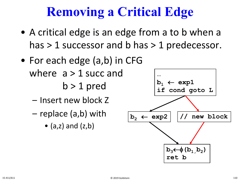## **Removing a Critical Edge**

- A critical edge is an edge from a to b when a has > 1 successor and b has > 1 predecessor.
- For each edge (a,b) in CFG where  $a > 1$  succ and  $b > 1$  pred
	- Insert new block Z
	- replace (a,b) with
		- $(a,z)$  and  $(z,b)$

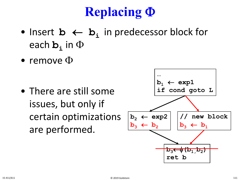## **Replacing** Φ

- Insert **b** ← **bi** in predecessor block for each **b**<sub>i</sub> in  $\Phi$
- remove  $\Phi$

• There are still some issues, but only if certain optimizations are performed.